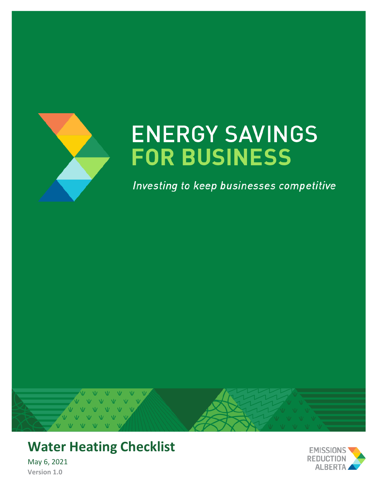

# **ENERGY SAVINGS FOR BUSINESS**

Investing to keep businesses competitive



## **Water Heating Checklist**

May 6, 2021 **Version 1.0**

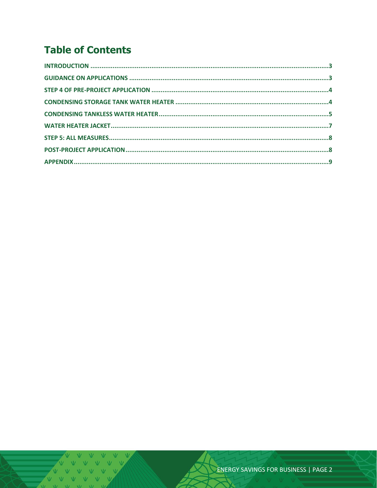### **Table of Contents**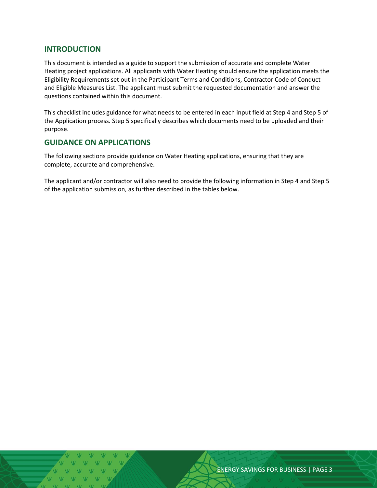#### <span id="page-2-0"></span>**INTRODUCTION**

This document is intended as a guide to support the submission of accurate and complete Water Heating project applications. All applicants with Water Heating should ensure the application meets the Eligibility Requirements set out in the Participant Terms and Conditions, Contractor Code of Conduct and Eligible Measures List. The applicant must submit the requested documentation and answer the questions contained within this document.

This checklist includes guidance for what needs to be entered in each input field at Step 4 and Step 5 of the Application process. Step 5 specifically describes which documents need to be uploaded and their purpose.

#### <span id="page-2-1"></span>**GUIDANCE ON APPLICATIONS**

The following sections provide guidance on Water Heating applications, ensuring that they are complete, accurate and comprehensive.

The applicant and/or contractor will also need to provide the following information in Step 4 and Step 5 of the application submission, as further described in the tables below.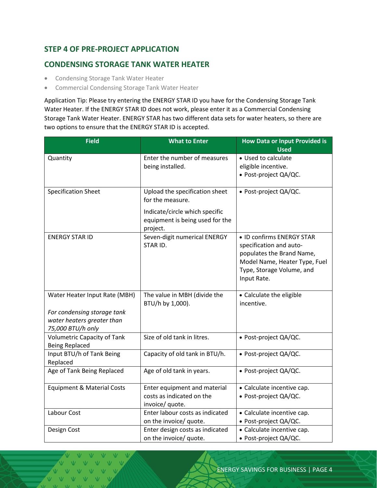#### <span id="page-3-0"></span>**STEP 4 OF PRE-PROJECT APPLICATION**

#### <span id="page-3-1"></span>**CONDENSING STORAGE TANK WATER HEATER**

- Condensing Storage Tank Water Heater
- Commercial Condensing Storage Tank Water Heater

Application Tip: Please try entering the ENERGY STAR ID you have for the Condensing Storage Tank Water Heater. If the ENERGY STAR ID does not work, please enter it as a Commercial Condensing Storage Tank Water Heater. ENERGY STAR has two different data sets for water heaters, so there are two options to ensure that the ENERGY STAR ID is accepted.

| <b>Field</b>                                                                                                    | <b>What to Enter</b>                                                                                                                | <b>How Data or Input Provided is</b><br><b>Used</b>                                                                                                            |  |
|-----------------------------------------------------------------------------------------------------------------|-------------------------------------------------------------------------------------------------------------------------------------|----------------------------------------------------------------------------------------------------------------------------------------------------------------|--|
| Quantity                                                                                                        | Enter the number of measures<br>being installed.                                                                                    | • Used to calculate<br>eligible incentive.<br>· Post-project QA/QC.                                                                                            |  |
| <b>Specification Sheet</b>                                                                                      | Upload the specification sheet<br>for the measure.<br>Indicate/circle which specific<br>equipment is being used for the<br>project. | · Post-project QA/QC.                                                                                                                                          |  |
| <b>ENERGY STAR ID</b>                                                                                           | Seven-digit numerical ENERGY<br>STAR ID.                                                                                            | • ID confirms ENERGY STAR<br>specification and auto-<br>populates the Brand Name,<br>Model Name, Heater Type, Fuel<br>Type, Storage Volume, and<br>Input Rate. |  |
| Water Heater Input Rate (MBH)<br>For condensing storage tank<br>water heaters greater than<br>75,000 BTU/h only | The value in MBH (divide the<br>BTU/h by 1,000).                                                                                    | • Calculate the eligible<br>incentive.                                                                                                                         |  |
| <b>Volumetric Capacity of Tank</b><br><b>Being Replaced</b>                                                     | Size of old tank in litres.                                                                                                         | • Post-project QA/QC.                                                                                                                                          |  |
| Input BTU/h of Tank Being<br>Replaced                                                                           | Capacity of old tank in BTU/h.                                                                                                      | • Post-project QA/QC.                                                                                                                                          |  |
| Age of Tank Being Replaced                                                                                      | Age of old tank in years.                                                                                                           | · Post-project QA/QC.                                                                                                                                          |  |
| <b>Equipment &amp; Material Costs</b>                                                                           | Enter equipment and material<br>costs as indicated on the<br>invoice/ quote.                                                        | • Calculate incentive cap.<br>• Post-project QA/QC.                                                                                                            |  |
| Labour Cost                                                                                                     | Enter labour costs as indicated<br>on the invoice/ quote.                                                                           | • Calculate incentive cap.<br>· Post-project QA/QC.                                                                                                            |  |
| Design Cost                                                                                                     | Enter design costs as indicated<br>on the invoice/ quote.                                                                           | • Calculate incentive cap.<br>· Post-project QA/QC.                                                                                                            |  |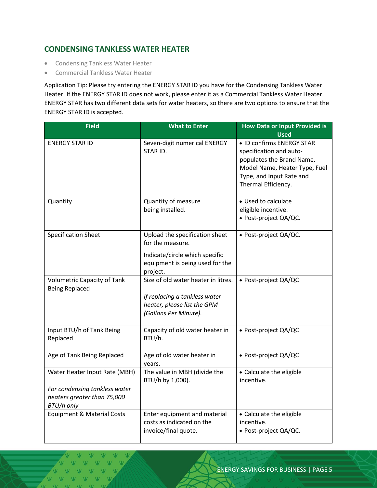#### <span id="page-4-0"></span>**CONDENSING TANKLESS WATER HEATER**

- Condensing Tankless Water Heater
- Commercial Tankless Water Heater

Application Tip: Please try entering the ENERGY STAR ID you have for the Condensing Tankless Water Heater. If the ENERGY STAR ID does not work, please enter it as a Commercial Tankless Water Heater. ENERGY STAR has two different data sets for water heaters, so there are two options to ensure that the ENERGY STAR ID is accepted.

| <b>Field</b>                                                                                                | <b>What to Enter</b>                                                                                                                | <b>How Data or Input Provided is</b><br><b>Used</b>                                                                                                                   |  |
|-------------------------------------------------------------------------------------------------------------|-------------------------------------------------------------------------------------------------------------------------------------|-----------------------------------------------------------------------------------------------------------------------------------------------------------------------|--|
| <b>ENERGY STAR ID</b>                                                                                       | Seven-digit numerical ENERGY<br>STAR ID.                                                                                            | • ID confirms ENERGY STAR<br>specification and auto-<br>populates the Brand Name,<br>Model Name, Heater Type, Fuel<br>Type, and Input Rate and<br>Thermal Efficiency. |  |
| Quantity                                                                                                    | Quantity of measure<br>being installed.                                                                                             | • Used to calculate<br>eligible incentive.<br>· Post-project QA/QC.                                                                                                   |  |
| <b>Specification Sheet</b>                                                                                  | Upload the specification sheet<br>for the measure.<br>Indicate/circle which specific<br>equipment is being used for the<br>project. | · Post-project QA/QC.                                                                                                                                                 |  |
| <b>Volumetric Capacity of Tank</b><br><b>Being Replaced</b>                                                 | Size of old water heater in litres.<br>If replacing a tankless water<br>heater, please list the GPM<br>(Gallons Per Minute).        | • Post-project QA/QC                                                                                                                                                  |  |
| Input BTU/h of Tank Being<br>Replaced                                                                       | Capacity of old water heater in<br>BTU/h.                                                                                           | · Post-project QA/QC                                                                                                                                                  |  |
| Age of Tank Being Replaced                                                                                  | Age of old water heater in<br>years.                                                                                                | · Post-project QA/QC                                                                                                                                                  |  |
| Water Heater Input Rate (MBH)<br>For condensing tankless water<br>heaters greater than 75,000<br>BTU/h only | The value in MBH (divide the<br>BTU/h by 1,000).                                                                                    | • Calculate the eligible<br>incentive.                                                                                                                                |  |
| <b>Equipment &amp; Material Costs</b>                                                                       | Enter equipment and material<br>costs as indicated on the<br>invoice/final quote.                                                   | • Calculate the eligible<br>incentive.<br>• Post-project QA/QC.                                                                                                       |  |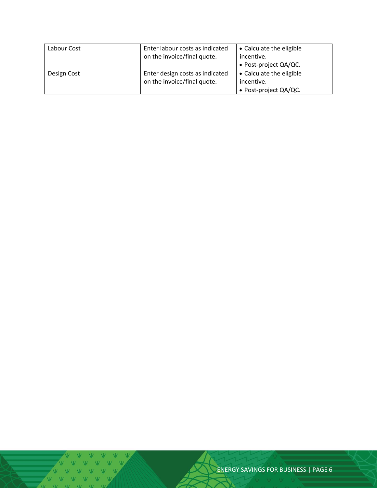| Labour Cost | Enter labour costs as indicated<br>on the invoice/final quote. | • Calculate the eligible<br>incentive. |  |
|-------------|----------------------------------------------------------------|----------------------------------------|--|
|             |                                                                |                                        |  |
|             |                                                                | • Post-project QA/QC.                  |  |
| Design Cost | Enter design costs as indicated                                | • Calculate the eligible               |  |
|             | on the invoice/final quote.                                    | incentive.                             |  |
|             |                                                                | • Post-project QA/QC.                  |  |

ENERGY SAVINGS FOR BUSINESS | PAGE 6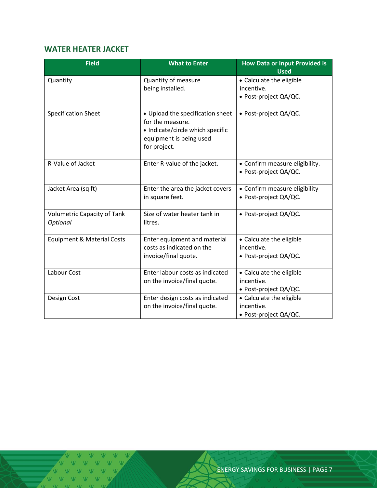#### <span id="page-6-0"></span>**WATER HEATER JACKET**

| <b>Field</b>                                   | <b>What to Enter</b>                                                                                                                | <b>How Data or Input Provided is</b><br><b>Used</b>             |  |
|------------------------------------------------|-------------------------------------------------------------------------------------------------------------------------------------|-----------------------------------------------------------------|--|
| Quantity                                       | Quantity of measure<br>being installed.                                                                                             | • Calculate the eligible<br>incentive.<br>• Post-project QA/QC. |  |
| <b>Specification Sheet</b>                     | • Upload the specification sheet<br>for the measure.<br>• Indicate/circle which specific<br>equipment is being used<br>for project. | • Post-project QA/QC.                                           |  |
| R-Value of Jacket                              | Enter R-value of the jacket.                                                                                                        | • Confirm measure eligibility.<br>· Post-project QA/QC.         |  |
| Jacket Area (sq ft)                            | Enter the area the jacket covers<br>in square feet.                                                                                 | • Confirm measure eligibility<br>· Post-project QA/QC.          |  |
| <b>Volumetric Capacity of Tank</b><br>Optional | Size of water heater tank in<br>litres.                                                                                             | • Post-project QA/QC.                                           |  |
| <b>Equipment &amp; Material Costs</b>          | Enter equipment and material<br>costs as indicated on the<br>invoice/final quote.                                                   | • Calculate the eligible<br>incentive.<br>· Post-project QA/QC. |  |
| Labour Cost                                    | Enter labour costs as indicated<br>on the invoice/final quote.                                                                      | • Calculate the eligible<br>incentive.<br>• Post-project QA/QC. |  |
| Design Cost                                    | Enter design costs as indicated<br>on the invoice/final quote.                                                                      | • Calculate the eligible<br>incentive.<br>• Post-project QA/QC. |  |

 $V = W - W$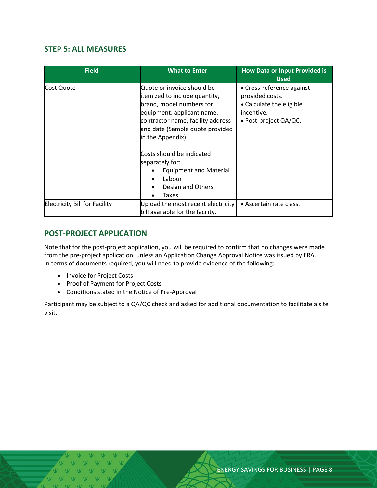#### <span id="page-7-0"></span>**STEP 5: ALL MEASURES**

| <b>Field</b>                         | <b>What to Enter</b>                                                                                                                                                                                                                                                                                                                        | <b>How Data or Input Provided is</b><br><b>Used</b>                                                                     |  |
|--------------------------------------|---------------------------------------------------------------------------------------------------------------------------------------------------------------------------------------------------------------------------------------------------------------------------------------------------------------------------------------------|-------------------------------------------------------------------------------------------------------------------------|--|
| Cost Quote                           | Quote or invoice should be<br>itemized to include quantity,<br>brand, model numbers for<br>equipment, applicant name,<br>contractor name, facility address<br>and date (Sample quote provided<br>in the Appendix).<br>Costs should be indicated<br>separately for:<br><b>Equipment and Material</b><br>Labour<br>Design and Others<br>Taxes | • Cross-reference against<br>provided costs.<br>• Calculate the eligible<br>incentive.<br>$\bullet$ Post-project QA/QC. |  |
| <b>Electricity Bill for Facility</b> | Upload the most recent electricity<br>bill available for the facility.                                                                                                                                                                                                                                                                      | • Ascertain rate class.                                                                                                 |  |

#### <span id="page-7-1"></span>**POST-PROJECT APPLICATION**

Note that for the post-project application, you will be required to confirm that no changes were made from the pre-project application, unless an Application Change Approval Notice was issued by ERA. In terms of documents required, you will need to provide evidence of the following:

- Invoice for Project Costs
- Proof of Payment for Project Costs
- Conditions stated in the Notice of Pre-Approval

Participant may be subject to a QA/QC check and asked for additional documentation to facilitate a site visit.